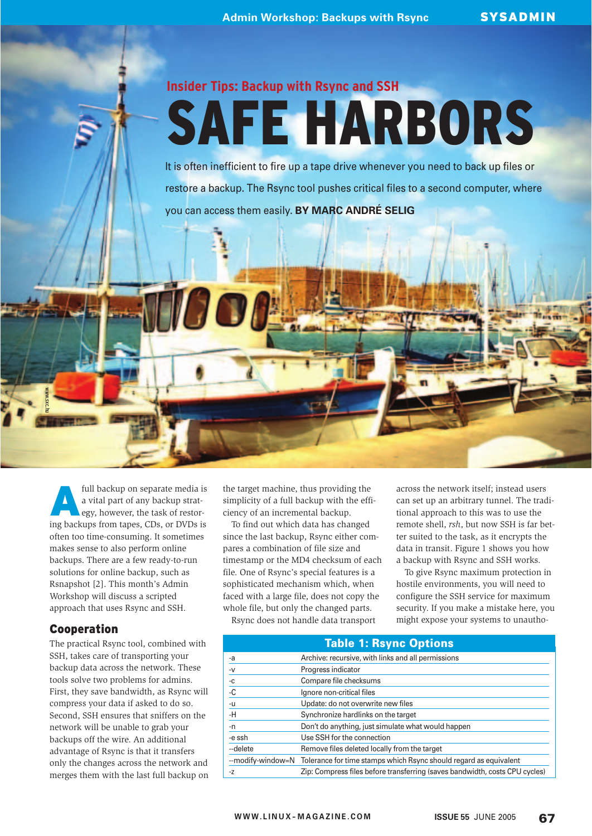# **Insider Tips: Backup with Rsync and SSH**

# SAFE HARBORS

It is often inefficient to fire up a tape drive whenever you need to back up files or restore a backup. The Rsync tool pushes critical files to a second computer, where you can access them easily. **BY MARC ANDRÉ SELIG**

full backup on separate media is a vital part of any backup strategy, however, the task of restoring backups from tapes, CDs, or DVDs is often too time-consuming. It sometimes makes sense to also perform online backups. There are a few ready-to-run solutions for online backup, such as Rsnapshot [2]. This month's Admin Workshop will discuss a scripted approach that uses Rsync and SSH.

# Cooperation

www.sxc.hu

The practical Rsync tool, combined with SSH, takes care of transporting your backup data across the network. These tools solve two problems for admins. First, they save bandwidth, as Rsync will compress your data if asked to do so. Second, SSH ensures that sniffers on the network will be unable to grab your backups off the wire. An additional advantage of Rsync is that it transfers only the changes across the network and merges them with the last full backup on

the target machine, thus providing the simplicity of a full backup with the efficiency of an incremental backup.

To find out which data has changed since the last backup, Rsync either compares a combination of file size and timestamp or the MD4 checksum of each file. One of Rsync's special features is a sophisticated mechanism which, when faced with a large file, does not copy the whole file, but only the changed parts.

Rsync does not handle data transport

across the network itself; instead users can set up an arbitrary tunnel. The traditional approach to this was to use the remote shell, *rsh*, but now SSH is far better suited to the task, as it encrypts the data in transit. Figure 1 shows you how a backup with Rsync and SSH works.

To give Rsync maximum protection in hostile environments, you will need to configure the SSH service for maximum security. If you make a mistake here, you might expose your systems to unautho-

| Table 1: Rsync Options |                                                                                     |
|------------------------|-------------------------------------------------------------------------------------|
| -a                     | Archive: recursive, with links and all permissions                                  |
| $-V$                   | Progress indicator                                                                  |
| $-C$                   | Compare file checksums                                                              |
| $-C$                   | Ignore non-critical files                                                           |
| -u                     | Update: do not overwrite new files                                                  |
| $-H$                   | Synchronize hardlinks on the target                                                 |
| -n                     | Don't do anything, just simulate what would happen                                  |
| -e ssh                 | Use SSH for the connection                                                          |
| --delete               | Remove files deleted locally from the target                                        |
|                        | --modify-window=N Tolerance for time stamps which Rsync should regard as equivalent |
| $-Z$                   | Zip: Compress files before transferring (saves bandwidth, costs CPU cycles)         |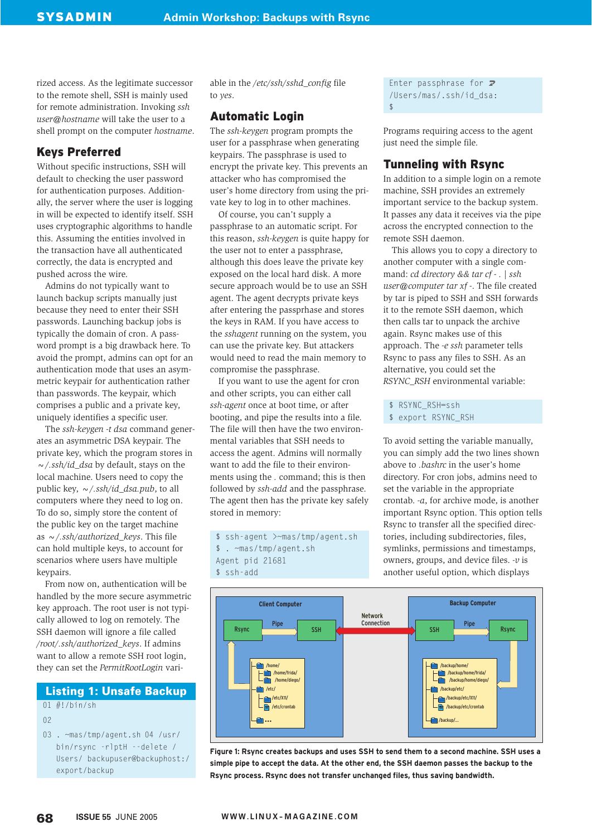rized access. As the legitimate successor to the remote shell, SSH is mainly used for remote administration. Invoking *ssh user@hostname* will take the user to a shell prompt on the computer *hostname*.

# Keys Preferred

Without specific instructions, SSH will default to checking the user password for authentication purposes. Additionally, the server where the user is logging in will be expected to identify itself. SSH uses cryptographic algorithms to handle this. Assuming the entities involved in the transaction have all authenticated correctly, the data is encrypted and pushed across the wire.

Admins do not typically want to launch backup scripts manually just because they need to enter their SSH passwords. Launching backup jobs is typically the domain of cron. A password prompt is a big drawback here. To avoid the prompt, admins can opt for an authentication mode that uses an asymmetric keypair for authentication rather than passwords. The keypair, which comprises a public and a private key, uniquely identifies a specific user.

The *ssh-keygen -t dsa* command generates an asymmetric DSA keypair. The private key, which the program stores in *~/.ssh/id\_dsa* by default, stays on the local machine. Users need to copy the public key, *~/.ssh/id\_dsa.pub*, to all computers where they need to log on. To do so, simply store the content of the public key on the target machine as *~/.ssh/authorized\_keys*. This file can hold multiple keys, to account for scenarios where users have multiple keypairs.

From now on, authentication will be handled by the more secure asymmetric key approach. The root user is not typically allowed to log on remotely. The SSH daemon will ignore a file called */root/.ssh/authorized\_keys*. If admins want to allow a remote SSH root login, they can set the *PermitRootLogin* vari-

#### **Listing 1: Unsafe Backup**

01 #!/bin/sh

 $0<sub>2</sub>$ 

03 . ~mas/tmp/agent.sh 04 /usr/ bin/rsync -rlptH --delete / Users/ backupuser@backuphost:/ export/backup

able in the */etc/ssh/sshd\_config* file to *yes*.

# Automatic Login

The *ssh-keygen* program prompts the user for a passphrase when generating keypairs. The passphrase is used to encrypt the private key. This prevents an attacker who has compromised the user's home directory from using the private key to log in to other machines.

Of course, you can't supply a passphrase to an automatic script. For this reason, *ssh-keygen* is quite happy for the user not to enter a passphrase, although this does leave the private key exposed on the local hard disk. A more secure approach would be to use an SSH agent. The agent decrypts private keys after entering the passprhase and stores the keys in RAM. If you have access to the *sshagent* running on the system, you can use the private key. But attackers would need to read the main memory to compromise the passphrase.

If you want to use the agent for cron and other scripts, you can either call *ssh-agent* once at boot time, or after booting, and pipe the results into a file. The file will then have the two environmental variables that SSH needs to access the agent. Admins will normally want to add the file to their environments using the *.* command; this is then followed by *ssh-add* and the passphrase. The agent then has the private key safely stored in memory:

\$ ssh-agent >~mas/tmp/agent.sh \$ . ~mas/tmp/agent.sh Agent pid 21681 \$ ssh-add

Enter passphrase for  $\overline{z}$ /Users/mas/.ssh/id\_dsa:  $\hat{\zeta}$ 

Programs requiring access to the agent just need the simple file.

# Tunneling with Rsync

In addition to a simple login on a remote machine, SSH provides an extremely important service to the backup system. It passes any data it receives via the pipe across the encrypted connection to the remote SSH daemon.

This allows you to copy a directory to another computer with a single command: *cd directory && tar cf - . | ssh user@computer tar xf -*. The file created by tar is piped to SSH and SSH forwards it to the remote SSH daemon, which then calls tar to unpack the archive again. Rsync makes use of this approach. The *-e ssh* parameter tells Rsync to pass any files to SSH. As an alternative, you could set the *RSYNC\_RSH* environmental variable:

\$ RSYNC RSH=ssh

To avoid setting the variable manually, you can simply add the two lines shown above to *.bashrc* in the user's home directory. For cron jobs, admins need to set the variable in the appropriate crontab. *-a*, for archive mode, is another important Rsync option. This option tells Rsync to transfer all the specified directories, including subdirectories, files, symlinks, permissions and timestamps, owners, groups, and device files. *-v* is another useful option, which displays



**Figure 1: Rsync creates backups and uses SSH to send them to a second machine. SSH uses a simple pipe to accept the data. At the other end, the SSH daemon passes the backup to the Rsync process. Rsync does not transfer unchanged files, thus saving bandwidth.**

<sup>\$</sup> export RSYNC RSH